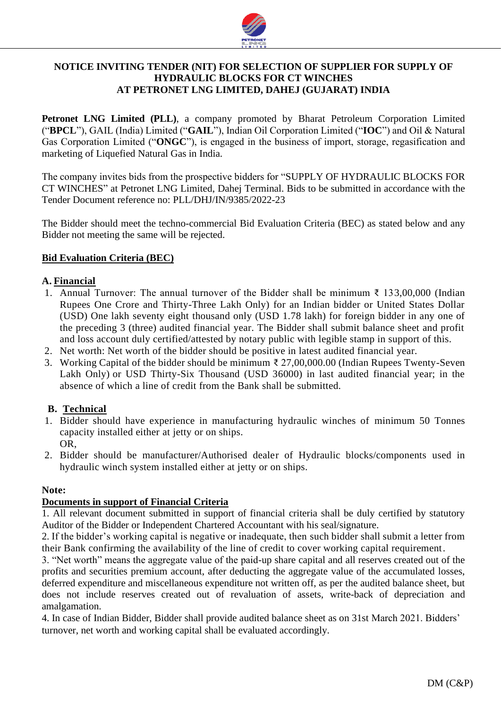

# **NOTICE INVITING TENDER (NIT) FOR SELECTION OF SUPPLIER FOR SUPPLY OF HYDRAULIC BLOCKS FOR CT WINCHES AT PETRONET LNG LIMITED, DAHEJ (GUJARAT) INDIA**

**Petronet LNG Limited (PLL)**, a company promoted by Bharat Petroleum Corporation Limited ("**BPCL**"), GAIL (India) Limited ("**GAIL**"), Indian Oil Corporation Limited ("**IOC**") and Oil & Natural Gas Corporation Limited ("**ONGC**"), is engaged in the business of import, storage, regasification and marketing of Liquefied Natural Gas in India.

The company invites bids from the prospective bidders for "SUPPLY OF HYDRAULIC BLOCKS FOR CT WINCHES" at Petronet LNG Limited, Dahej Terminal. Bids to be submitted in accordance with the Tender Document reference no: PLL/DHJ/IN/9385/2022-23

The Bidder should meet the techno-commercial Bid Evaluation Criteria (BEC) as stated below and any Bidder not meeting the same will be rejected.

## **Bid Evaluation Criteria (BEC)**

## **A. Financial**

- 1. Annual Turnover: The annual turnover of the Bidder shall be minimum ₹ 133,00,000 (Indian Rupees One Crore and Thirty-Three Lakh Only) for an Indian bidder or United States Dollar (USD) One lakh seventy eight thousand only (USD 1.78 lakh) for foreign bidder in any one of the preceding 3 (three) audited financial year. The Bidder shall submit balance sheet and profit and loss account duly certified/attested by notary public with legible stamp in support of this.
- 2. Net worth: Net worth of the bidder should be positive in latest audited financial year.
- 3. Working Capital of the bidder should be minimum ₹ 27,00,000.00 (Indian Rupees Twenty-Seven Lakh Only) or USD Thirty-Six Thousand (USD 36000) in last audited financial year; in the absence of which a line of credit from the Bank shall be submitted.

## **B. Technical**

- 1. Bidder should have experience in manufacturing hydraulic winches of minimum 50 Tonnes capacity installed either at jetty or on ships. OR,
- 2. Bidder should be manufacturer/Authorised dealer of Hydraulic blocks/components used in hydraulic winch system installed either at jetty or on ships.

#### **Note:**

## **Documents in support of Financial Criteria**

1. All relevant document submitted in support of financial criteria shall be duly certified by statutory Auditor of the Bidder or Independent Chartered Accountant with his seal/signature.

2. If the bidder's working capital is negative or inadequate, then such bidder shall submit a letter from their Bank confirming the availability of the line of credit to cover working capital requirement.

3. "Net worth" means the aggregate value of the paid-up share capital and all reserves created out of the profits and securities premium account, after deducting the aggregate value of the accumulated losses, deferred expenditure and miscellaneous expenditure not written off, as per the audited balance sheet, but does not include reserves created out of revaluation of assets, write-back of depreciation and amalgamation.

4. In case of Indian Bidder, Bidder shall provide audited balance sheet as on 31st March 2021. Bidders' turnover, net worth and working capital shall be evaluated accordingly.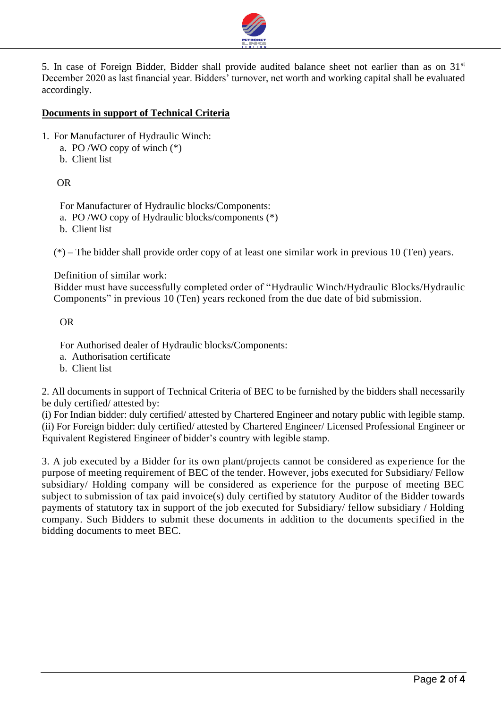

5. In case of Foreign Bidder, Bidder shall provide audited balance sheet not earlier than as on 31<sup>st</sup> December 2020 as last financial year. Bidders' turnover, net worth and working capital shall be evaluated accordingly.

## **Documents in support of Technical Criteria**

- 1. For Manufacturer of Hydraulic Winch:
	- a. PO /WO copy of winch (\*)
	- b. Client list

# OR

For Manufacturer of Hydraulic blocks/Components: a. PO /WO copy of Hydraulic blocks/components (\*)

b. Client list

(\*) – The bidder shall provide order copy of at least one similar work in previous 10 (Ten) years.

Definition of similar work:

Bidder must have successfully completed order of "Hydraulic Winch/Hydraulic Blocks/Hydraulic Components" in previous 10 (Ten) years reckoned from the due date of bid submission.

OR

For Authorised dealer of Hydraulic blocks/Components:

- a. Authorisation certificate
- b. Client list

2. All documents in support of Technical Criteria of BEC to be furnished by the bidders shall necessarily be duly certified/ attested by:

(i) For Indian bidder: duly certified/ attested by Chartered Engineer and notary public with legible stamp. (ii) For Foreign bidder: duly certified/ attested by Chartered Engineer/ Licensed Professional Engineer or Equivalent Registered Engineer of bidder's country with legible stamp.

3. A job executed by a Bidder for its own plant/projects cannot be considered as experience for the purpose of meeting requirement of BEC of the tender. However, jobs executed for Subsidiary/ Fellow subsidiary/ Holding company will be considered as experience for the purpose of meeting BEC subject to submission of tax paid invoice(s) duly certified by statutory Auditor of the Bidder towards payments of statutory tax in support of the job executed for Subsidiary/ fellow subsidiary / Holding company. Such Bidders to submit these documents in addition to the documents specified in the bidding documents to meet BEC.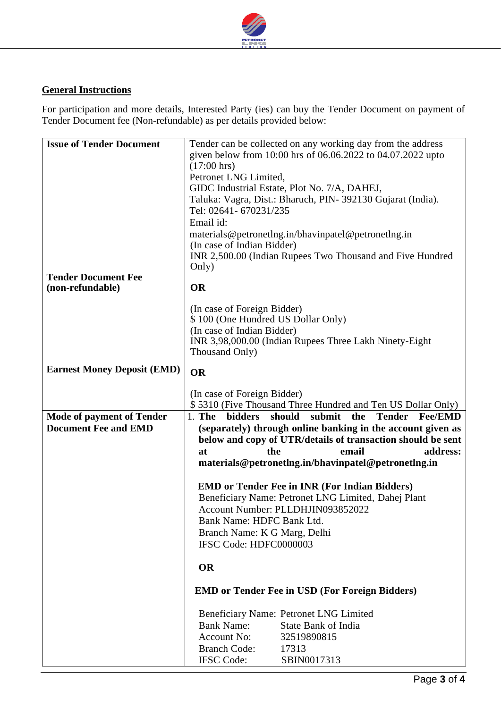

# **General Instructions**

For participation and more details, Interested Party (ies) can buy the Tender Document on payment of Tender Document fee (Non-refundable) as per details provided below:

| <b>Issue of Tender Document</b>    | Tender can be collected on any working day from the address                              |
|------------------------------------|------------------------------------------------------------------------------------------|
|                                    | given below from 10:00 hrs of 06.06.2022 to 04.07.2022 upto                              |
|                                    | $(17:00 \text{ hrs})$                                                                    |
|                                    | Petronet LNG Limited,                                                                    |
|                                    | GIDC Industrial Estate, Plot No. 7/A, DAHEJ,                                             |
|                                    | Taluka: Vagra, Dist.: Bharuch, PIN-392130 Gujarat (India).                               |
|                                    | Tel: 02641- 670231/235                                                                   |
|                                    |                                                                                          |
|                                    | Email id:                                                                                |
|                                    | materials@petronetlng.in/bhavinpatel@petronetlng.in                                      |
|                                    | (In case of Indian Bidder)                                                               |
|                                    | INR 2,500.00 (Indian Rupees Two Thousand and Five Hundred                                |
|                                    | Only)                                                                                    |
| <b>Tender Document Fee</b>         |                                                                                          |
| (non-refundable)                   | <b>OR</b>                                                                                |
|                                    |                                                                                          |
|                                    | (In case of Foreign Bidder)                                                              |
|                                    | \$100 (One Hundred US Dollar Only)                                                       |
|                                    | (In case of Indian Bidder)                                                               |
|                                    | INR 3,98,000.00 (Indian Rupees Three Lakh Ninety-Eight                                   |
|                                    | Thousand Only)                                                                           |
|                                    |                                                                                          |
| <b>Earnest Money Deposit (EMD)</b> | <b>OR</b>                                                                                |
|                                    |                                                                                          |
|                                    | (In case of Foreign Bidder)                                                              |
|                                    | \$5310 (Five Thousand Three Hundred and Ten US Dollar Only)                              |
|                                    |                                                                                          |
|                                    |                                                                                          |
| <b>Mode of payment of Tender</b>   | $1.$ The<br><b>bidders</b><br>should<br>submit<br>the<br><b>Tender</b><br><b>Fee/EMD</b> |
| <b>Document Fee and EMD</b>        | (separately) through online banking in the account given as                              |
|                                    | below and copy of UTR/details of transaction should be sent                              |
|                                    | at<br>the<br>email<br>address:                                                           |
|                                    | materials@petronetlng.in/bhavinpatel@petronetlng.in                                      |
|                                    |                                                                                          |
|                                    | <b>EMD or Tender Fee in INR (For Indian Bidders)</b>                                     |
|                                    | Beneficiary Name: Petronet LNG Limited, Dahej Plant                                      |
|                                    | Account Number: PLLDHJIN093852022                                                        |
|                                    |                                                                                          |
|                                    | Bank Name: HDFC Bank Ltd.                                                                |
|                                    | Branch Name: K G Marg, Delhi                                                             |
|                                    | IFSC Code: HDFC0000003                                                                   |
|                                    |                                                                                          |
|                                    | <b>OR</b>                                                                                |
|                                    |                                                                                          |
|                                    | <b>EMD or Tender Fee in USD (For Foreign Bidders)</b>                                    |
|                                    |                                                                                          |
|                                    | Beneficiary Name: Petronet LNG Limited                                                   |
|                                    | <b>Bank Name:</b><br><b>State Bank of India</b>                                          |
|                                    | <b>Account No:</b><br>32519890815                                                        |
|                                    |                                                                                          |
|                                    | <b>Branch Code:</b><br>17313<br><b>IFSC</b> Code:<br>SBIN0017313                         |